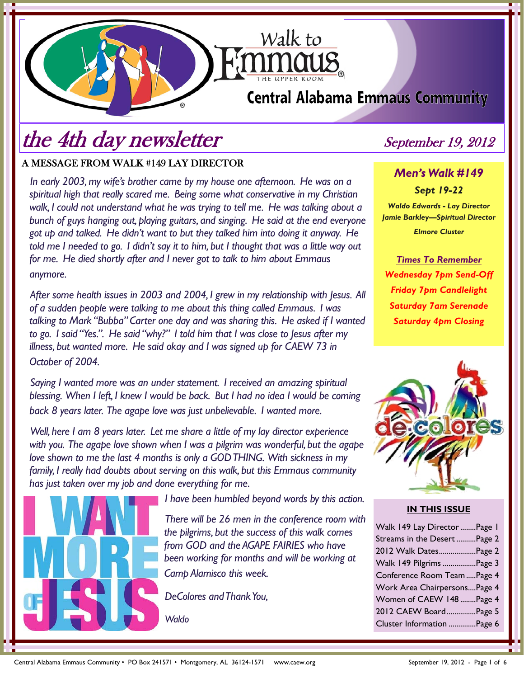# **Central Alabama Emmaus Community**

Walk to

# the 4th day newsletter September 19, 2012

## A MESSAGE FROM WALK #149 LAY DIRECTOR

*In early 2003, my wife's brother came by my house one afternoon. He was on a spiritual high that really scared me. Being some what conservative in my Christian walk, I could not understand what he was trying to tell me. He was talking about a bunch of guys hanging out, playing guitars, and singing. He said at the end everyone got up and talked. He didn't want to but they talked him into doing it anyway. He told me I needed to go. I didn't say it to him, but I thought that was a little way out for me. He died shortly after and I never got to talk to him about Emmaus anymore.* 

*After some health issues in 2003 and 2004, I grew in my relationship with Jesus. All of a sudden people were talking to me about this thing called Emmaus. I was talking to Mark "Bubba" Carter one day and was sharing this. He asked if I wanted to go. I said "Yes.". He said "why?" I told him that I was close to Jesus after my illness, but wanted more. He said okay and I was signed up for CAEW 73 in October of 2004.* 

*Saying I wanted more was an under statement. I received an amazing spiritual blessing. When I left, I knew I would be back. But I had no idea I would be coming back 8 years later. The agape love was just unbelievable. I wanted more.* 

*Well, here I am 8 years later. Let me share a little of my lay director experience with you. The agape love shown when I was a pilgrim was wonderful, but the agape love shown to me the last 4 months is only a GOD THING. With sickness in my family, I really had doubts about serving on this walk, but this Emmaus community has just taken over my job and done everything for me.* 



*I have been humbled beyond words by this action.* 

*There will be 26 men in the conference room with the pilgrims, but the success of this walk comes from GOD and the AGAPE FAIRIES who have been working for months and will be working at Camp Alamisco this week.* 

*DeColores and Thank You,* 

*Waldo* 

*Men's Walk #149 Sept 19-22 Waldo Edwards - Lay Director Jamie Barkley—Spiritual Director* 

*Elmore Cluster* 

*Times To Remember Wednesday 7pm Send-Off Friday 7pm Candlelight Saturday 7am Serenade Saturday 4pm Closing*



### **IN THIS ISSUE**

| Walk 149 Lay Director Page 1 |  |
|------------------------------|--|
| Streams in the Desert Page 2 |  |
| 2012 Walk DatesPage 2        |  |
| Walk 149 Pilgrims Page 3     |  |
| Conference Room Team  Page 4 |  |
| Work Area ChairpersonsPage 4 |  |
| Women of CAEW 148  Page 4    |  |
| 2012 CAEW BoardPage 5        |  |
| Cluster Information Page 6   |  |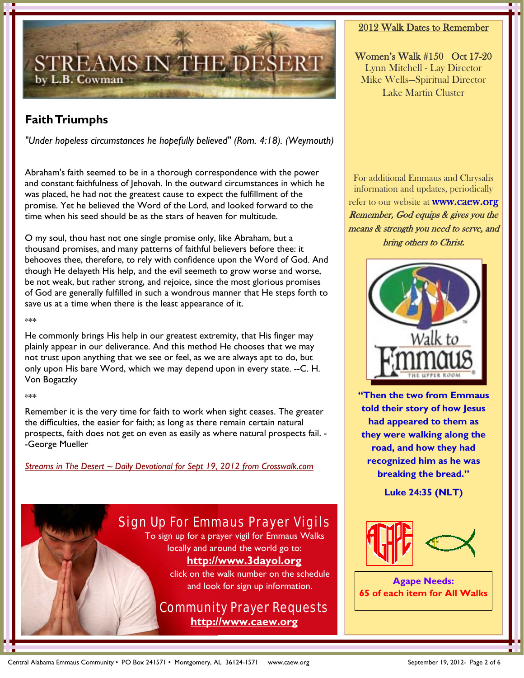

## **Faith Triumphs**

*"Under hopeless circumstances he hopefully believed" (Rom. 4:18). (Weymouth)*

Abraham's faith seemed to be in a thorough correspondence with the power and constant faithfulness of Jehovah. In the outward circumstances in which he was placed, he had not the greatest cause to expect the fulfillment of the promise. Yet he believed the Word of the Lord, and looked forward to the time when his seed should be as the stars of heaven for multitude.

O my soul, thou hast not one single promise only, like Abraham, but a thousand promises, and many patterns of faithful believers before thee: it behooves thee, therefore, to rely with confidence upon the Word of God. And though He delayeth His help, and the evil seemeth to grow worse and worse, be not weak, but rather strong, and rejoice, since the most glorious promises of God are generally fulfilled in such a wondrous manner that He steps forth to save us at a time when there is the least appearance of it.

\*\*\*

He commonly brings His help in our greatest extremity, that His finger may plainly appear in our deliverance. And this method He chooses that we may not trust upon anything that we see or feel, as we are always apt to do, but only upon His bare Word, which we may depend upon in every state. --C. H. Von Bogatzky

\*\*\*

Remember it is the very time for faith to work when sight ceases. The greater the difficulties, the easier for faith; as long as there remain certain natural prospects, faith does not get on even as easily as where natural prospects fail. - -George Mueller

*Streams in The Desert ~ Daily Devotional for Sept 19, 2012 from Crosswalk.com*

# Sign Up For Emmaus Prayer Vigils

To sign up for a prayer vigil for Emmaus Walks locally and around the world go to:

## **http://www.3dayol.org**

click on the walk number on the schedule and look for sign up information.

## Community Prayer Requests **http://www.caew.org**

## 2012 Walk Dates to Remember

Women's Walk #150 Oct 17-20 Lynn Mitchell - Lay Director Mike Wells—Spiritual Director Lake Martin Cluster

For additional Emmaus and Chrysalis information and updates, periodically refer to our website at **WWW.Caew.org** Remember, God equips & gives you the means & strength you need to serve, and bring others to Christ.



**"Then the two from Emmaus told their story of how Jesus had appeared to them as they were walking along the road, and how they had recognized him as he was breaking the bread."** 

**Luke 24:35 (NLT)** 



**Agape Needs: 65 of each item for All Walks**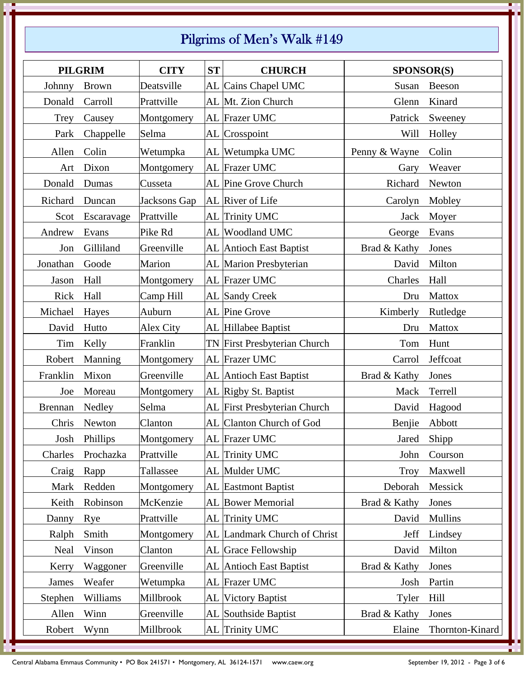# Pilgrims of Men's Walk #149

|                | <b>PILGRIM</b> | <b>CITY</b>  | <b>ST</b> | <b>CHURCH</b>                | SPONSOR(S)    |                 |
|----------------|----------------|--------------|-----------|------------------------------|---------------|-----------------|
| Johnny         | <b>Brown</b>   | Deatsville   |           | AL Cains Chapel UMC          | Susan         | Beeson          |
| Donald         | Carroll        | Prattville   |           | AL Mt. Zion Church           | Glenn         | Kinard          |
| Trey           | Causey         | Montgomery   |           | AL Frazer UMC                | Patrick       | Sweeney         |
| Park           | Chappelle      | Selma        |           | AL Crosspoint                | Will          | Holley          |
| Allen          | Colin          | Wetumpka     |           | AL Wetumpka UMC              | Penny & Wayne | Colin           |
| Art            | Dixon          | Montgomery   |           | AL Frazer UMC                | Gary          | Weaver          |
| Donald         | Dumas          | Cusseta      |           | AL Pine Grove Church         | Richard       | Newton          |
| Richard        | Duncan         | Jacksons Gap |           | AL River of Life             | Carolyn       | Mobley          |
| Scot           | Escaravage     | Prattville   |           | AL Trinity UMC               | Jack          | Moyer           |
| Andrew         | Evans          | Pike Rd      |           | AL Woodland UMC              | George        | Evans           |
| Jon            | Gilliland      | Greenville   |           | AL Antioch East Baptist      | Brad & Kathy  | Jones           |
| Jonathan       | Goode          | Marion       |           | AL Marion Presbyterian       | David         | Milton          |
| Jason          | Hall           | Montgomery   |           | AL Frazer UMC                | Charles       | Hall            |
| Rick           | Hall           | Camp Hill    |           | <b>AL</b> Sandy Creek        | Dru           | Mattox          |
| Michael        | Hayes          | Auburn       |           | AL Pine Grove                | Kimberly      | Rutledge        |
| David          | Hutto          | Alex City    |           | AL Hillabee Baptist          | Dru           | <b>Mattox</b>   |
| Tim            | Kelly          | Franklin     |           | TN First Presbyterian Church | Tom           | Hunt            |
| Robert         | Manning        | Montgomery   |           | AL Frazer UMC                | Carrol        | Jeffcoat        |
| Franklin       | Mixon          | Greenville   |           | AL Antioch East Baptist      | Brad & Kathy  | Jones           |
| Joe            | Moreau         | Montgomery   |           | AL Rigby St. Baptist         | Mack          | Terrell         |
| <b>Brennan</b> | Nedley         | Selma        |           | AL First Presbyterian Church | David         | Hagood          |
| Chris          | Newton         | Clanton      |           | AL Clanton Church of God     | Benjie        | Abbott          |
|                | Josh Phillips  | Montgomery   |           | AL Frazer UMC                |               | Jared Shipp     |
| Charles        | Prochazka      | Prattville   |           | AL Trinity UMC               | John          | Courson         |
| Craig          | Rapp           | Tallassee    |           | AL Mulder UMC                | <b>Troy</b>   | Maxwell         |
| Mark           | Redden         | Montgomery   |           | <b>AL</b> Eastmont Baptist   | Deborah       | Messick         |
| Keith          | Robinson       | McKenzie     |           | AL Bower Memorial            | Brad & Kathy  | Jones           |
| Danny          | Rye            | Prattville   |           | AL Trinity UMC               | David         | <b>Mullins</b>  |
| Ralph          | Smith          | Montgomery   |           | AL Landmark Church of Christ | Jeff          | Lindsey         |
| Neal           | Vinson         | Clanton      |           | AL Grace Fellowship          | David         | Milton          |
| Kerry          | Waggoner       | Greenville   |           | AL Antioch East Baptist      | Brad & Kathy  | Jones           |
| James          | Weafer         | Wetumpka     |           | AL Frazer UMC                | Josh          | Partin          |
| Stephen        | Williams       | Millbrook    |           | AL Victory Baptist           | Tyler         | Hill            |
| Allen          | Winn           | Greenville   |           | AL Southside Baptist         | Brad & Kathy  | Jones           |
| Robert         | Wynn           | Millbrook    |           | AL Trinity UMC               | Elaine        | Thornton-Kinard |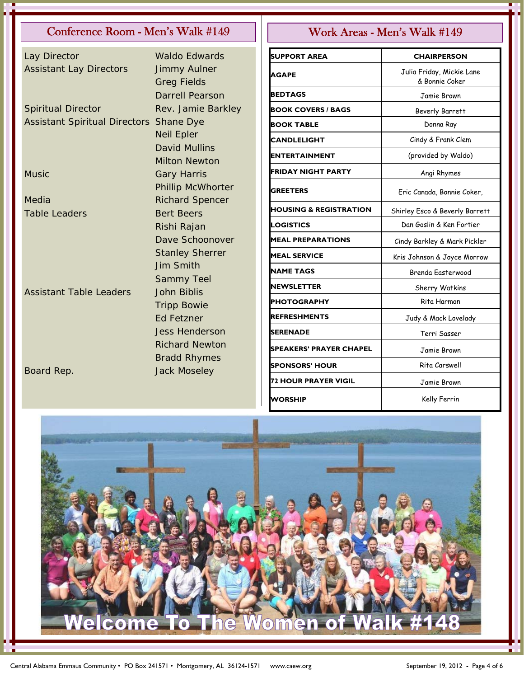## Conference Room - Men's Walk #149 Work Areas - Men's Walk #149

| Lay Director                         | <b>Waldo Edwards</b>     |
|--------------------------------------|--------------------------|
| <b>Assistant Lay Directors</b>       | <b>Jimmy Aulner</b>      |
|                                      | <b>Greg Fields</b>       |
|                                      | <b>Darrell Pearson</b>   |
| <b>Spiritual Director</b>            | Rev. Jamie Barkley       |
| <b>Assistant Spiritual Directors</b> | Shane Dye                |
|                                      | <b>Neil Epler</b>        |
|                                      | <b>David Mullins</b>     |
|                                      | <b>Milton Newton</b>     |
| Music                                | <b>Gary Harris</b>       |
|                                      | <b>Phillip McWhorter</b> |
| Media                                | <b>Richard Spencer</b>   |
| <b>Table Leaders</b>                 | <b>Bert Beers</b>        |
|                                      | Rishi Rajan              |
|                                      | Dave Schoonover          |
|                                      | <b>Stanley Sherrer</b>   |
|                                      | <b>Jim Smith</b>         |
|                                      | <b>Sammy Teel</b>        |
| <b>Assistant Table Leaders</b>       | <b>John Biblis</b>       |
|                                      | <b>Tripp Bowie</b>       |
|                                      | Ed Fetzner               |
|                                      | <b>Jess Henderson</b>    |
|                                      | <b>Richard Newton</b>    |
|                                      | <b>Bradd Rhymes</b>      |
| Board Rep.                           | <b>Jack Moseley</b>      |

| <b>SUPPORT AREA</b>               | <b>CHAIRPERSON</b>                          |
|-----------------------------------|---------------------------------------------|
| AGAPE                             | Julia Friday, Mickie Lane<br>& Bonnie Coker |
| <b>BEDTAGS</b>                    | Jamie Brown                                 |
| <b>BOOK COVERS / BAGS</b>         | <b>Beverly Barrett</b>                      |
| <b>BOOK TABLE</b>                 | Donna Ray                                   |
| <b>CANDLELIGHT</b>                | Cindy & Frank Clem                          |
| ENTERTAINMENT                     | (provided by Waldo)                         |
| FRIDAY NIGHT PARTY                | Angi Rhymes                                 |
| <b>GREETERS</b>                   | Eric Canada, Bonnie Coker,                  |
| <b>HOUSING &amp; REGISTRATION</b> | Shirley Esco & Beverly Barrett              |
| LOGISTICS                         | Dan Goslin & Ken Fortier                    |
| <b>MEAL PREPARATIONS</b>          | Cindy Barkley & Mark Pickler                |
| <b>MEAL SERVICE</b>               | Kris Johnson & Joyce Morrow                 |
| <b>NAME TAGS</b>                  | Brenda Easterwood                           |
| <b>NEWSLETTER</b>                 | Sherry Watkins                              |
| <b>PHOTOGRAPHY</b>                | Rita Harmon                                 |
| <b>REFRESHMENTS</b>               | Judy & Mack Lovelady                        |
| SERENADE                          | Terri Sasser                                |
| SPEAKERS' PRAYER CHAPEL           | Jamie Brown                                 |
| <b>SPONSORS' HOUR</b>             | Rita Carswell                               |
| <b>72 HOUR PRAYER VIGIL</b>       | Jamie Brown                                 |
| <b>WORSHIP</b>                    | Kelly Ferrin                                |

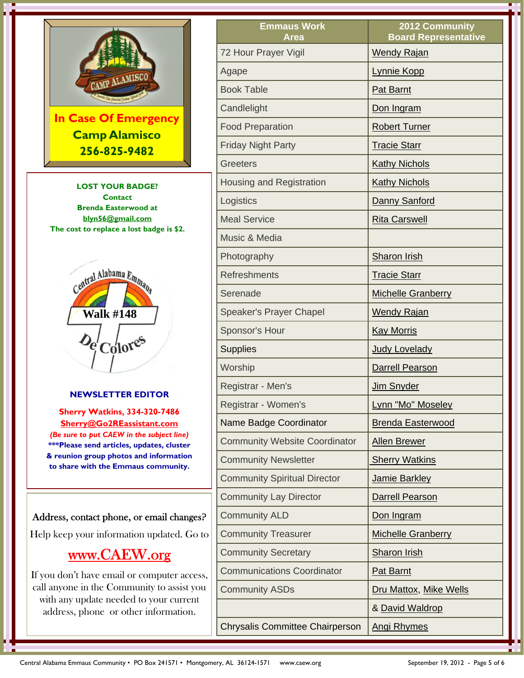

**LOST YOUR BADGE? Contact Brenda Easterwood at blyn56@gmail.com The cost to replace a lost badge is \$2.** 



### **NEWSLETTER EDITOR**

**Sherry Watkins, 334-320-7486 Sherry@Go2REassistant.com**  *(Be sure to put CAEW in the subject line)* **\*\*\*Please send articles, updates, cluster & reunion group photos and information to share with the Emmaus community.**

## Address, contact phone, or email changes?

Help keep your information updated. Go to

# www.CAEW.org

If you don't have email or computer access, call anyone in the Community to assist you with any update needed to your current address, phone or other information.

| <b>Emmaus Work</b><br><b>Area</b>      | <b>2012 Community</b><br><b>Board Representative</b> |
|----------------------------------------|------------------------------------------------------|
| 72 Hour Prayer Vigil                   | <b>Wendy Rajan</b>                                   |
| Agape                                  | Lynnie Kopp                                          |
| <b>Book Table</b>                      | <b>Pat Barnt</b>                                     |
| Candlelight                            | Don Ingram                                           |
| <b>Food Preparation</b>                | <b>Robert Turner</b>                                 |
| <b>Friday Night Party</b>              | <b>Tracie Starr</b>                                  |
| <b>Greeters</b>                        | <b>Kathy Nichols</b>                                 |
| <b>Housing and Registration</b>        | <b>Kathy Nichols</b>                                 |
| Logistics                              | Danny Sanford                                        |
| <b>Meal Service</b>                    | <b>Rita Carswell</b>                                 |
| Music & Media                          |                                                      |
| Photography                            | <b>Sharon Irish</b>                                  |
| <b>Refreshments</b>                    | <b>Tracie Starr</b>                                  |
| Serenade                               | <b>Michelle Granberry</b>                            |
| <b>Speaker's Prayer Chapel</b>         | <b>Wendy Rajan</b>                                   |
| Sponsor's Hour                         | <b>Kay Morris</b>                                    |
| <b>Supplies</b>                        | <b>Judy Lovelady</b>                                 |
| Worship                                | <b>Darrell Pearson</b>                               |
| Registrar - Men's                      | Jim Snyder                                           |
| Registrar - Women's                    | Lynn "Mo" Moseley                                    |
| Name Badge Coordinator                 | <b>Brenda Easterwood</b>                             |
| <b>Community Website Coordinator</b>   | <b>Allen Brewer</b>                                  |
| <b>Community Newsletter</b>            | <b>Sherry Watkins</b>                                |
| <b>Community Spiritual Director</b>    | Jamie Barkley                                        |
| <b>Community Lay Director</b>          | <b>Darrell Pearson</b>                               |
| <b>Community ALD</b>                   | Don Ingram                                           |
| <b>Community Treasurer</b>             | <b>Michelle Granberry</b>                            |
| <b>Community Secretary</b>             | <b>Sharon Irish</b>                                  |
| <b>Communications Coordinator</b>      | <b>Pat Barnt</b>                                     |
| <b>Community ASDs</b>                  | Dru Mattox, Mike Wells                               |
|                                        | & David Waldrop                                      |
| <b>Chrysalis Committee Chairperson</b> | <b>Angi Rhymes</b>                                   |